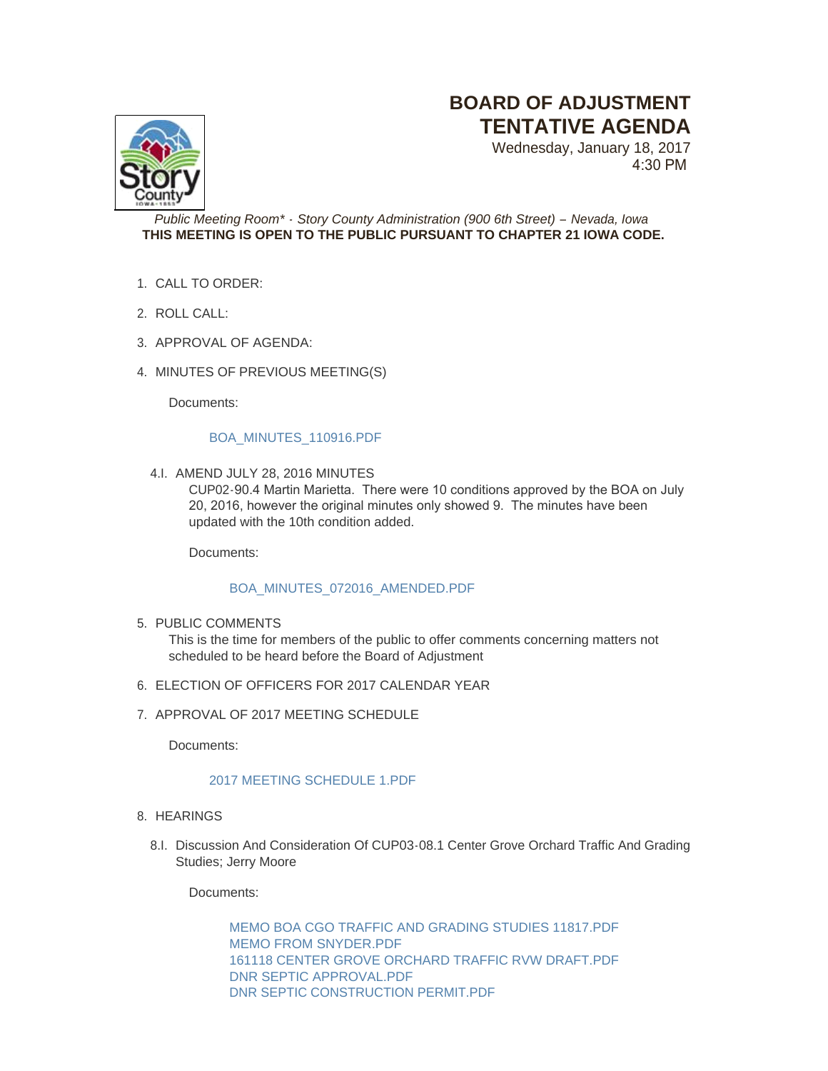# **BOARD OF ADJUSTMENT TENTATIVE AGENDA**

Wednesday, January 18, 2017 4:30 PM



## *Public Meeting Room\* - Story County Administration (900 6th Street) – Nevada, Iowa* **THIS MEETING IS OPEN TO THE PUBLIC PURSUANT TO CHAPTER 21 IOWA CODE.**

- CALL TO ORDER: 1.
- ROLL CALL: 2.
- 3. APPROVAL OF AGENDA:
- 4. MINUTES OF PREVIOUS MEETING(S)

Documents:

#### [BOA\\_MINUTES\\_110916.PDF](http://www.storycountyiowa.gov/AgendaCenter/ViewFile/Item/8568?fileID=5839)

4.I. AMEND JULY 28, 2016 MINUTES

CUP02-90.4 Martin Marietta. There were 10 conditions approved by the BOA on July 20, 2016, however the original minutes only showed 9. The minutes have been updated with the 10th condition added.

Documents:

## [BOA\\_MINUTES\\_072016\\_AMENDED.PDF](http://www.storycountyiowa.gov/AgendaCenter/ViewFile/Item/8411?fileID=5819)

5. PUBLIC COMMENTS

This is the time for members of the public to offer comments concerning matters not scheduled to be heard before the Board of Adjustment

- 6. ELECTION OF OFFICERS FOR 2017 CALENDAR YEAR
- 7. APPROVAL OF 2017 MEETING SCHEDULE

Documents:

## [2017 MEETING SCHEDULE 1.PDF](http://www.storycountyiowa.gov/AgendaCenter/ViewFile/Item/8388?fileID=5820)

- 8. HEARINGS
	- 8.I. Discussion And Consideration Of CUP03-08.1 Center Grove Orchard Traffic And Grading Studies; Jerry Moore

Documents:

[MEMO BOA CGO TRAFFIC AND GRADING STUDIES 11817.PDF](http://www.storycountyiowa.gov/AgendaCenter/ViewFile/Item/8564?fileID=5825) [MEMO FROM SNYDER.PDF](http://www.storycountyiowa.gov/AgendaCenter/ViewFile/Item/8564?fileID=5821) [161118 CENTER GROVE ORCHARD TRAFFIC RVW DRAFT.PDF](http://www.storycountyiowa.gov/AgendaCenter/ViewFile/Item/8564?fileID=5822) [DNR SEPTIC APPROVAL.PDF](http://www.storycountyiowa.gov/AgendaCenter/ViewFile/Item/8564?fileID=5823) [DNR SEPTIC CONSTRUCTION PERMIT.PDF](http://www.storycountyiowa.gov/AgendaCenter/ViewFile/Item/8564?fileID=5824)